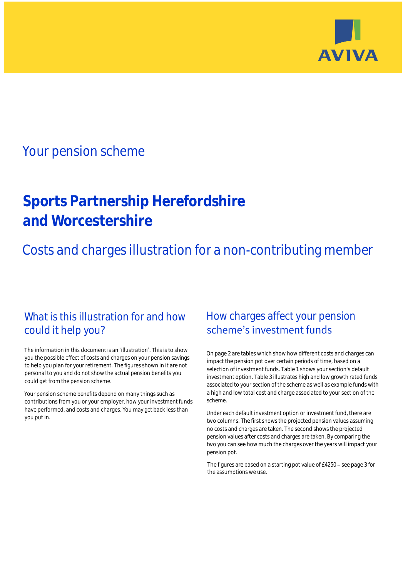

## Your pension scheme

# **Sports Partnership Herefordshire and Worcestershire**

Costs and charges illustration for a non-contributing member

### What is this illustration for and how could it help you?

#### The information in this document is an 'illustration'. This is to show you the possible effect of costs and charges on your pension savings to help you plan for your retirement. The figures shown in it are not personal to you and do not show the actual pension benefits you could get from the pension scheme.

Your pension scheme benefits depend on many things such as contributions from you or your employer, how your investment funds have performed, and costs and charges. You may get back less than you put in.

### How charges affect your pension scheme's investment funds

On page 2 are tables which show how different costs and charges can impact the pension pot over certain periods of time, based on a selection of investment funds. Table 1 shows your section's default investment option. Table 3 illustrates high and low growth rated funds associated to your section of the scheme as well as example funds with a high and low total cost and charge associated to your section of the scheme.

Under each default investment option or investment fund, there are two columns. The first shows the projected pension values assuming no costs and charges are taken. The second shows the projected pension values after costs and charges are taken. By comparing the two you can see how much the charges over the years will impact your pension pot.

The figures are based on a starting pot value of  $£4250 -$  see page 3 for the assumptions we use.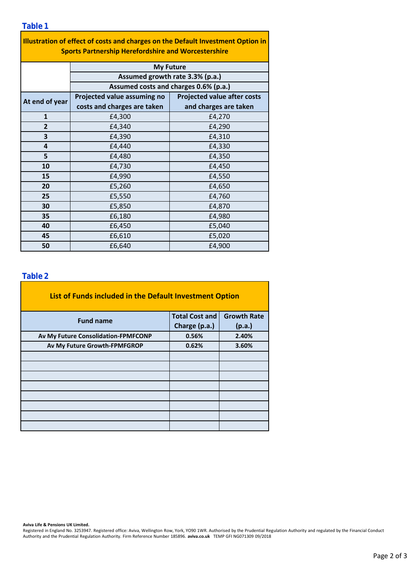| Illustration of effect of costs and charges on the Default Investment Option in<br><b>Sports Partnership Herefordshire and Worcestershire</b> |                                                                                              |                                    |  |  |  |  |  |  |
|-----------------------------------------------------------------------------------------------------------------------------------------------|----------------------------------------------------------------------------------------------|------------------------------------|--|--|--|--|--|--|
|                                                                                                                                               | <b>My Future</b><br>Assumed growth rate 3.3% (p.a.)<br>Assumed costs and charges 0.6% (p.a.) |                                    |  |  |  |  |  |  |
|                                                                                                                                               |                                                                                              |                                    |  |  |  |  |  |  |
|                                                                                                                                               |                                                                                              |                                    |  |  |  |  |  |  |
| At end of year                                                                                                                                | Projected value assuming no                                                                  | <b>Projected value after costs</b> |  |  |  |  |  |  |
|                                                                                                                                               | costs and charges are taken                                                                  | and charges are taken              |  |  |  |  |  |  |
| 1                                                                                                                                             | £4,300                                                                                       | £4,270                             |  |  |  |  |  |  |
| 2                                                                                                                                             | £4,340                                                                                       | £4,290                             |  |  |  |  |  |  |
| 3                                                                                                                                             | £4,390                                                                                       | £4,310                             |  |  |  |  |  |  |
| 4                                                                                                                                             | £4,440                                                                                       | £4,330                             |  |  |  |  |  |  |
| 5                                                                                                                                             | £4,480                                                                                       | £4,350                             |  |  |  |  |  |  |
| 10                                                                                                                                            | £4,730                                                                                       | £4,450                             |  |  |  |  |  |  |
| 15                                                                                                                                            | £4,990                                                                                       | £4,550                             |  |  |  |  |  |  |
| 20                                                                                                                                            | £5,260                                                                                       | £4,650                             |  |  |  |  |  |  |
| 25                                                                                                                                            | £5,550                                                                                       | £4,760                             |  |  |  |  |  |  |
| 30                                                                                                                                            | £5,850                                                                                       | £4,870                             |  |  |  |  |  |  |
| 35                                                                                                                                            | £6,180                                                                                       | £4,980                             |  |  |  |  |  |  |
| 40                                                                                                                                            | £6,450                                                                                       | £5,040                             |  |  |  |  |  |  |
| 45                                                                                                                                            | £6,610                                                                                       | £5,020                             |  |  |  |  |  |  |
| 50                                                                                                                                            | £6,640                                                                                       | £4,900                             |  |  |  |  |  |  |

#### **Table 2**

| List of Funds included in the Default Investment Option |                       |                    |  |  |  |  |  |
|---------------------------------------------------------|-----------------------|--------------------|--|--|--|--|--|
| <b>Fund name</b>                                        | <b>Total Cost and</b> | <b>Growth Rate</b> |  |  |  |  |  |
|                                                         | Charge (p.a.)         | (p.a.)             |  |  |  |  |  |
| Av My Future Consolidation-FPMFCONP                     | 0.56%                 | 2.40%              |  |  |  |  |  |
| Av My Future Growth-FPMFGROP                            | 0.62%                 | 3.60%              |  |  |  |  |  |
|                                                         |                       |                    |  |  |  |  |  |
|                                                         |                       |                    |  |  |  |  |  |
|                                                         |                       |                    |  |  |  |  |  |
|                                                         |                       |                    |  |  |  |  |  |
|                                                         |                       |                    |  |  |  |  |  |
|                                                         |                       |                    |  |  |  |  |  |
|                                                         |                       |                    |  |  |  |  |  |
|                                                         |                       |                    |  |  |  |  |  |

**Aviva Life & Pensions UK Limited.**

Registered in England No. 3253947. Registered office: Aviva, Wellington Row, York, YO90 1WR. Authorised by the Prudential Regulation Authority and regulated by the Financial Conduct Authority and the Prudential Regulation Authority. Firm Reference Number 185896. **aviva.co.uk** TEMP GFI NG071309 09/2018